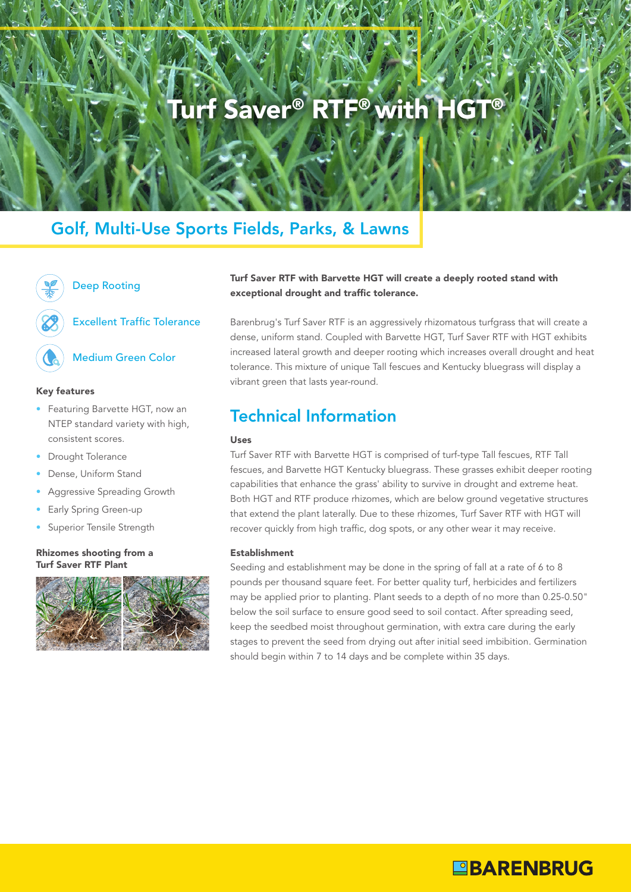# Turf Saver® RTF® with HGT®

## Golf, Multi-Use Sports Fields, Parks, & Lawns



## Deep Rooting

Excellent Traffic Tolerance

## Medium Green Color

### Key features

- Featuring Barvette HGT, now an NTEP standard variety with high, consistent scores.
- Drought Tolerance
- Dense, Uniform Stand
- Aggressive Spreading Growth
- **Early Spring Green-up**
- Superior Tensile Strength

### Rhizomes shooting from a Testablishment Turf Saver RTF Plant



## Turf Saver RTF with Barvette HGT will create a deeply rooted stand with exceptional drought and traffic tolerance.

Barenbrug's Turf Saver RTF is an aggressively rhizomatous turfgrass that will create a dense, uniform stand. Coupled with Barvette HGT, Turf Saver RTF with HGT exhibits increased lateral growth and deeper rooting which increases overall drought and heat tolerance. This mixture of unique Tall fescues and Kentucky bluegrass will display a vibrant green that lasts year-round.

## Technical Information

### Uses

Turf Saver RTF with Barvette HGT is comprised of turf-type Tall fescues, RTF Tall fescues, and Barvette HGT Kentucky bluegrass. These grasses exhibit deeper rooting capabilities that enhance the grass' ability to survive in drought and extreme heat. Both HGT and RTF produce rhizomes, which are below ground vegetative structures that extend the plant laterally. Due to these rhizomes, Turf Saver RTF with HGT will recover quickly from high traffic, dog spots, or any other wear it may receive.

Seeding and establishment may be done in the spring of fall at a rate of 6 to 8 pounds per thousand square feet. For better quality turf, herbicides and fertilizers may be applied prior to planting. Plant seeds to a depth of no more than 0.25-0.50" below the soil surface to ensure good seed to soil contact. After spreading seed, keep the seedbed moist throughout germination, with extra care during the early stages to prevent the seed from drying out after initial seed imbibition. Germination should begin within 7 to 14 days and be complete within 35 days.

**OBARENBRUG**